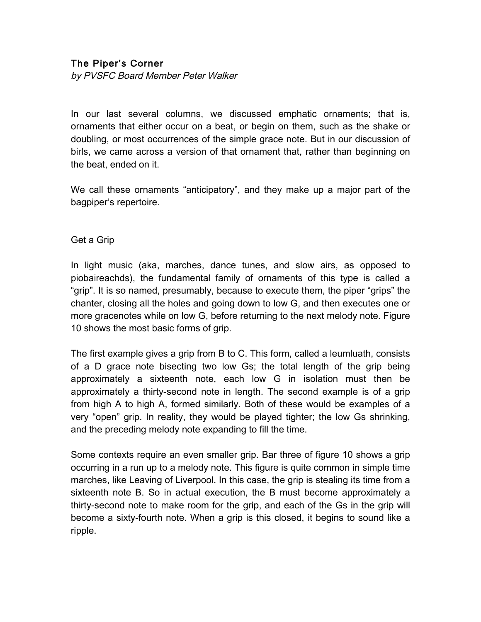## The Piper's Corner

by PVSFC Board Member Peter Walker

In our last several columns, we discussed emphatic ornaments; that is, ornaments that either occur on a beat, or begin on them, such as the shake or doubling, or most occurrences of the simple grace note. But in our discussion of birls, we came across a version of that ornament that, rather than beginning on the beat, ended on it.

We call these ornaments "anticipatory", and they make up a major part of the bagpiper's repertoire.

## Get a Grip

In light music (aka, marches, dance tunes, and slow airs, as opposed to piobaireachds), the fundamental family of ornaments of this type is called a "grip". It is so named, presumably, because to execute them, the piper "grips" the chanter, closing all the holes and going down to low G, and then executes one or more gracenotes while on low G, before returning to the next melody note. Figure 10 shows the most basic forms of grip.

The first example gives a grip from B to C. This form, called a leumluath, consists of a D grace note bisecting two low Gs; the total length of the grip being approximately a sixteenth note, each low G in isolation must then be approximately a thirty-second note in length. The second example is of a grip from high A to high A, formed similarly. Both of these would be examples of a very "open" grip. In reality, they would be played tighter; the low Gs shrinking, and the preceding melody note expanding to fill the time.

Some contexts require an even smaller grip. Bar three of figure 10 shows a grip occurring in a run up to a melody note. This figure is quite common in simple time marches, like Leaving of Liverpool. In this case, the grip is stealing its time from a sixteenth note B. So in actual execution, the B must become approximately a thirty-second note to make room for the grip, and each of the Gs in the grip will become a sixty-fourth note. When a grip is this closed, it begins to sound like a ripple.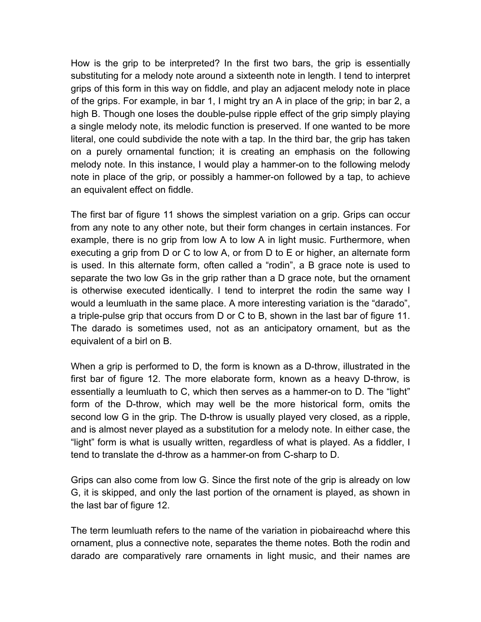How is the grip to be interpreted? In the first two bars, the grip is essentially substituting for a melody note around a sixteenth note in length. I tend to interpret grips of this form in this way on fiddle, and play an adjacent melody note in place of the grips. For example, in bar 1, I might try an A in place of the grip; in bar 2, a high B. Though one loses the double-pulse ripple effect of the grip simply playing a single melody note, its melodic function is preserved. If one wanted to be more literal, one could subdivide the note with a tap. In the third bar, the grip has taken on a purely ornamental function; it is creating an emphasis on the following melody note. In this instance, I would play a hammer-on to the following melody note in place of the grip, or possibly a hammer-on followed by a tap, to achieve an equivalent effect on fiddle.

The first bar of figure 11 shows the simplest variation on a grip. Grips can occur from any note to any other note, but their form changes in certain instances. For example, there is no grip from low A to low A in light music. Furthermore, when executing a grip from D or C to low A, or from D to E or higher, an alternate form is used. In this alternate form, often called a "rodin", a B grace note is used to separate the two low Gs in the grip rather than a D grace note, but the ornament is otherwise executed identically. I tend to interpret the rodin the same way I would a leumluath in the same place. A more interesting variation is the "darado", a triple-pulse grip that occurs from D or C to B, shown in the last bar of figure 11. The darado is sometimes used, not as an anticipatory ornament, but as the equivalent of a birl on B.

When a grip is performed to D, the form is known as a D-throw, illustrated in the first bar of figure 12. The more elaborate form, known as a heavy D-throw, is essentially a leumluath to C, which then serves as a hammer-on to D. The "light" form of the D-throw, which may well be the more historical form, omits the second low G in the grip. The D-throw is usually played very closed, as a ripple, and is almost never played as a substitution for a melody note. In either case, the "light" form is what is usually written, regardless of what is played. As a fiddler, I tend to translate the d-throw as a hammer-on from C-sharp to D.

Grips can also come from low G. Since the first note of the grip is already on low G, it is skipped, and only the last portion of the ornament is played, as shown in the last bar of figure 12.

The term leumluath refers to the name of the variation in piobaireachd where this ornament, plus a connective note, separates the theme notes. Both the rodin and darado are comparatively rare ornaments in light music, and their names are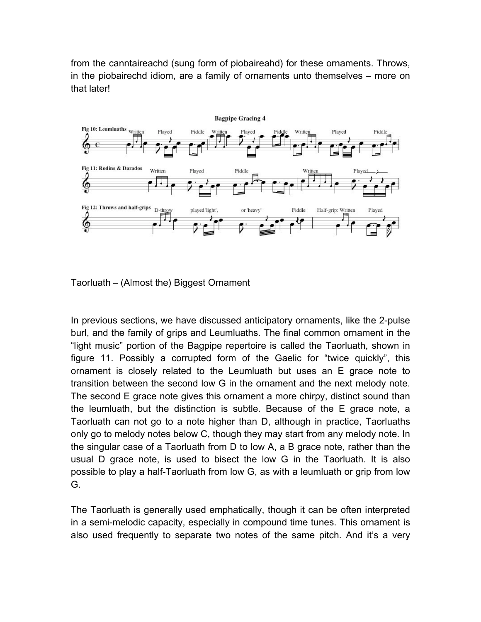from the canntaireachd (sung form of piobaireahd) for these ornaments. Throws, in the piobairechd idiom, are a family of ornaments unto themselves – more on that later!



Taorluath – (Almost the) Biggest Ornament

In previous sections, we have discussed anticipatory ornaments, like the 2-pulse burl, and the family of grips and Leumluaths. The final common ornament in the "light music" portion of the Bagpipe repertoire is called the Taorluath, shown in figure 11. Possibly a corrupted form of the Gaelic for "twice quickly", this ornament is closely related to the Leumluath but uses an E grace note to transition between the second low G in the ornament and the next melody note. The second E grace note gives this ornament a more chirpy, distinct sound than the leumluath, but the distinction is subtle. Because of the E grace note, a Taorluath can not go to a note higher than D, although in practice, Taorluaths only go to melody notes below C, though they may start from any melody note. In the singular case of a Taorluath from D to low A, a B grace note, rather than the usual D grace note, is used to bisect the low G in the Taorluath. It is also possible to play a half-Taorluath from low G, as with a leumluath or grip from low G.

The Taorluath is generally used emphatically, though it can be often interpreted in a semi-melodic capacity, especially in compound time tunes. This ornament is also used frequently to separate two notes of the same pitch. And it's a very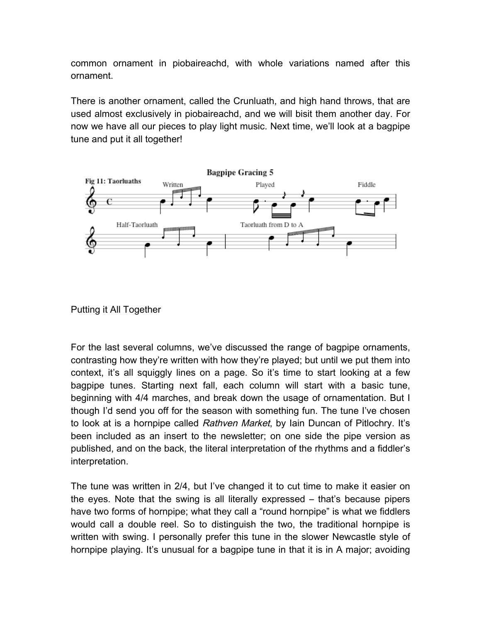common ornament in piobaireachd, with whole variations named after this ornament.

There is another ornament, called the Crunluath, and high hand throws, that are used almost exclusively in piobaireachd, and we will bisit them another day. For now we have all our pieces to play light music. Next time, we'll look at a bagpipe tune and put it all together!



Putting it All Together

For the last several columns, we've discussed the range of bagpipe ornaments, contrasting how they're written with how they're played; but until we put them into context, it's all squiggly lines on a page. So it's time to start looking at a few bagpipe tunes. Starting next fall, each column will start with a basic tune, beginning with 4/4 marches, and break down the usage of ornamentation. But I though I'd send you off for the season with something fun. The tune I've chosen to look at is a hornpipe called Rathven Market, by Iain Duncan of Pitlochry. It's been included as an insert to the newsletter; on one side the pipe version as published, and on the back, the literal interpretation of the rhythms and a fiddler's interpretation.

The tune was written in 2/4, but I've changed it to cut time to make it easier on the eyes. Note that the swing is all literally expressed – that's because pipers have two forms of hornpipe; what they call a "round hornpipe" is what we fiddlers would call a double reel. So to distinguish the two, the traditional hornpipe is written with swing. I personally prefer this tune in the slower Newcastle style of hornpipe playing. It's unusual for a bagpipe tune in that it is in A major; avoiding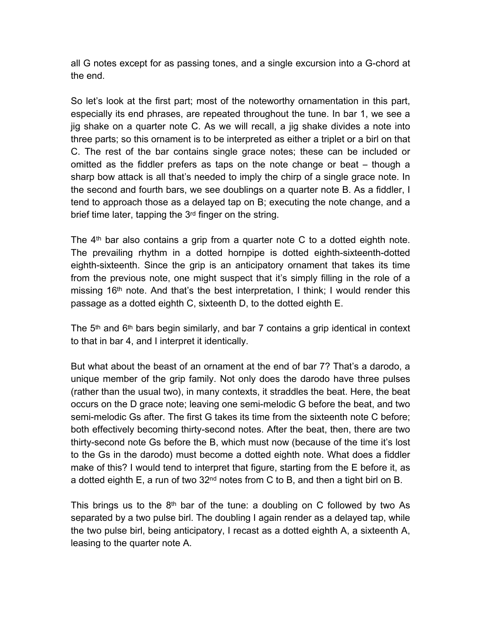all G notes except for as passing tones, and a single excursion into a G-chord at the end.

So let's look at the first part; most of the noteworthy ornamentation in this part, especially its end phrases, are repeated throughout the tune. In bar 1, we see a jig shake on a quarter note C. As we will recall, a jig shake divides a note into three parts; so this ornament is to be interpreted as either a triplet or a birl on that C. The rest of the bar contains single grace notes; these can be included or omitted as the fiddler prefers as taps on the note change or beat – though a sharp bow attack is all that's needed to imply the chirp of a single grace note. In the second and fourth bars, we see doublings on a quarter note B. As a fiddler, I tend to approach those as a delayed tap on B; executing the note change, and a brief time later, tapping the 3rd finger on the string.

The  $4<sup>th</sup>$  bar also contains a grip from a quarter note C to a dotted eighth note. The prevailing rhythm in a dotted hornpipe is dotted eighth-sixteenth-dotted eighth-sixteenth. Since the grip is an anticipatory ornament that takes its time from the previous note, one might suspect that it's simply filling in the role of a missing 16<sup>th</sup> note. And that's the best interpretation, I think; I would render this passage as a dotted eighth C, sixteenth D, to the dotted eighth E.

The  $5<sup>th</sup>$  and  $6<sup>th</sup>$  bars begin similarly, and bar 7 contains a grip identical in context to that in bar 4, and I interpret it identically.

But what about the beast of an ornament at the end of bar 7? That's a darodo, a unique member of the grip family. Not only does the darodo have three pulses (rather than the usual two), in many contexts, it straddles the beat. Here, the beat occurs on the D grace note; leaving one semi-melodic G before the beat, and two semi-melodic Gs after. The first G takes its time from the sixteenth note C before; both effectively becoming thirty-second notes. After the beat, then, there are two thirty-second note Gs before the B, which must now (because of the time it's lost to the Gs in the darodo) must become a dotted eighth note. What does a fiddler make of this? I would tend to interpret that figure, starting from the E before it, as a dotted eighth  $E$ , a run of two  $32<sup>nd</sup>$  notes from C to B, and then a tight birl on B.

This brings us to the  $8<sup>th</sup>$  bar of the tune: a doubling on C followed by two As separated by a two pulse birl. The doubling I again render as a delayed tap, while the two pulse birl, being anticipatory, I recast as a dotted eighth A, a sixteenth A, leasing to the quarter note A.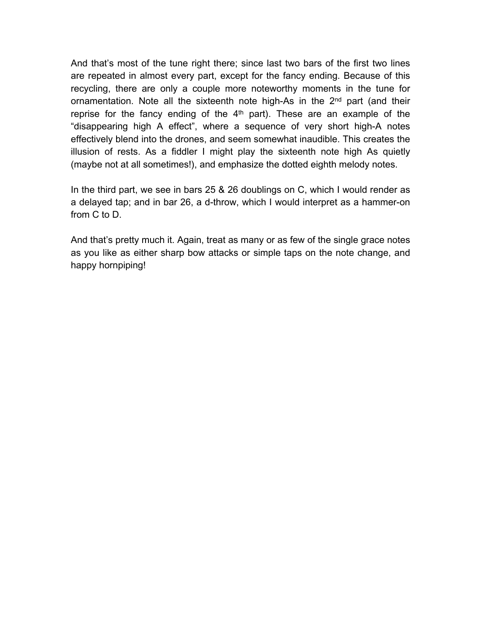And that's most of the tune right there; since last two bars of the first two lines are repeated in almost every part, except for the fancy ending. Because of this recycling, there are only a couple more noteworthy moments in the tune for ornamentation. Note all the sixteenth note high-As in the 2<sup>nd</sup> part (and their reprise for the fancy ending of the  $4<sup>th</sup>$  part). These are an example of the "disappearing high A effect", where a sequence of very short high-A notes effectively blend into the drones, and seem somewhat inaudible. This creates the illusion of rests. As a fiddler I might play the sixteenth note high As quietly (maybe not at all sometimes!), and emphasize the dotted eighth melody notes.

In the third part, we see in bars 25 & 26 doublings on C, which I would render as a delayed tap; and in bar 26, a d-throw, which I would interpret as a hammer-on from C to D.

And that's pretty much it. Again, treat as many or as few of the single grace notes as you like as either sharp bow attacks or simple taps on the note change, and happy hornpiping!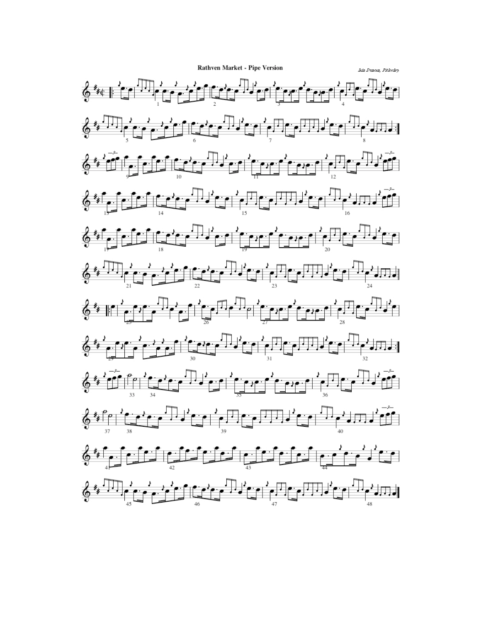**Rathven Market - Pipe Version** 

Ikia Duanka, Pitlonley

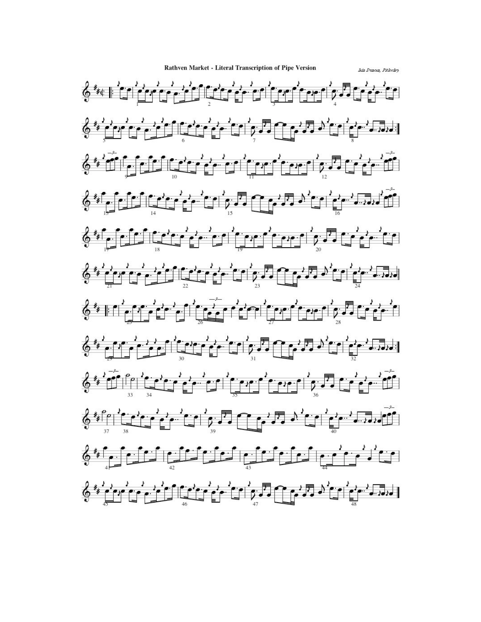Rathven Market - Literal Transcription of Pipe Version

Isia Duncea, Pitlochey